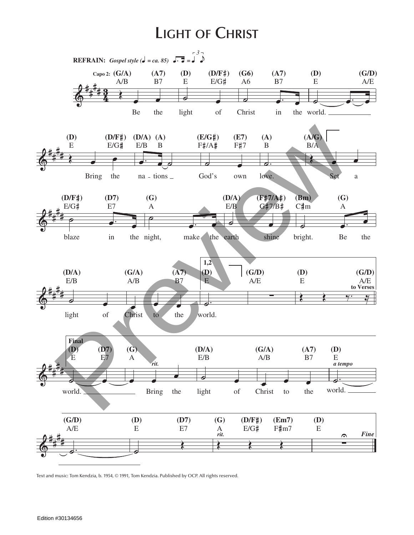## **Light of Christ**



Text and music: Tom Kendzia, b. 1954, © 1991, Tom Kendzia. Published by OCP. All rights reserved.